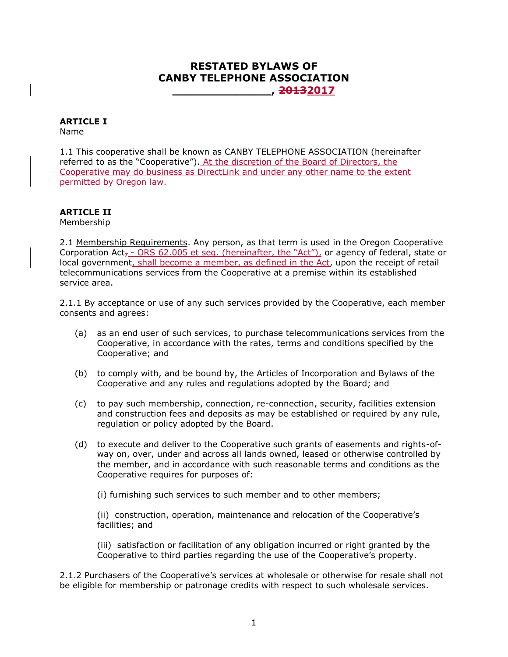## **RESTATED BYLAWS OF CANBY TELEPHONE ASSOCIATION \_\_\_\_\_\_\_\_\_\_\_\_\_\_, 20132017**

# **ARTICLE I**

Name

1.1 This cooperative shall be known as CANBY TELEPHONE ASSOCIATION (hereinafter referred to as the "Cooperative"). At the discretion of the Board of Directors, the Cooperative may do business as DirectLink and under any other name to the extent permitted by Oregon law.

## **ARTICLE II**

Membership

2.1 Membership Requirements. Any person, as that term is used in the Oregon Cooperative Corporation Act<sub>7</sub> - ORS 62.005 et seq. (hereinafter, the "Act"), or agency of federal, state or local government, shall become a member, as defined in the Act, upon the receipt of retail telecommunications services from the Cooperative at a premise within its established service area.

2.1.1 By acceptance or use of any such services provided by the Cooperative, each member consents and agrees:

- (a) as an end user of such services, to purchase telecommunications services from the Cooperative, in accordance with the rates, terms and conditions specified by the Cooperative; and
- (b) to comply with, and be bound by, the Articles of Incorporation and Bylaws of the Cooperative and any rules and regulations adopted by the Board; and
- (c) to pay such membership, connection, re-connection, security, facilities extension and construction fees and deposits as may be established or required by any rule, regulation or policy adopted by the Board.
- (d) to execute and deliver to the Cooperative such grants of easements and rights-ofway on, over, under and across all lands owned, leased or otherwise controlled by the member, and in accordance with such reasonable terms and conditions as the Cooperative requires for purposes of:

(i) furnishing such services to such member and to other members;

(ii) construction, operation, maintenance and relocation of the Cooperative's facilities; and

(iii) satisfaction or facilitation of any obligation incurred or right granted by the Cooperative to third parties regarding the use of the Cooperative's property.

2.1.2 Purchasers of the Cooperative's services at wholesale or otherwise for resale shall not be eligible for membership or patronage credits with respect to such wholesale services.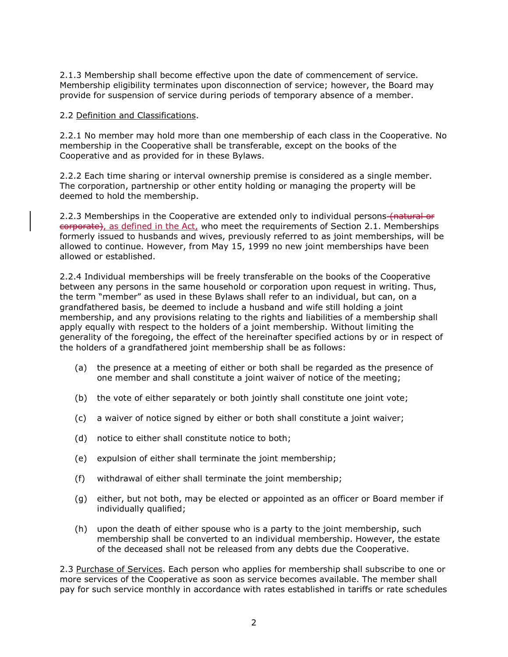2.1.3 Membership shall become effective upon the date of commencement of service. Membership eligibility terminates upon disconnection of service; however, the Board may provide for suspension of service during periods of temporary absence of a member.

#### 2.2 Definition and Classifications.

2.2.1 No member may hold more than one membership of each class in the Cooperative. No membership in the Cooperative shall be transferable, except on the books of the Cooperative and as provided for in these Bylaws.

2.2.2 Each time sharing or interval ownership premise is considered as a single member. The corporation, partnership or other entity holding or managing the property will be deemed to hold the membership.

2.2.3 Memberships in the Cooperative are extended only to individual persons (natural or corporate), as defined in the Act, who meet the requirements of Section 2.1. Memberships formerly issued to husbands and wives, previously referred to as joint memberships, will be allowed to continue. However, from May 15, 1999 no new joint memberships have been allowed or established.

2.2.4 Individual memberships will be freely transferable on the books of the Cooperative between any persons in the same household or corporation upon request in writing. Thus, the term "member" as used in these Bylaws shall refer to an individual, but can, on a grandfathered basis, be deemed to include a husband and wife still holding a joint membership, and any provisions relating to the rights and liabilities of a membership shall apply equally with respect to the holders of a joint membership. Without limiting the generality of the foregoing, the effect of the hereinafter specified actions by or in respect of the holders of a grandfathered joint membership shall be as follows:

- (a) the presence at a meeting of either or both shall be regarded as the presence of one member and shall constitute a joint waiver of notice of the meeting;
- (b) the vote of either separately or both jointly shall constitute one joint vote;
- (c) a waiver of notice signed by either or both shall constitute a joint waiver;
- (d) notice to either shall constitute notice to both;
- (e) expulsion of either shall terminate the joint membership;
- (f) withdrawal of either shall terminate the joint membership;
- (g) either, but not both, may be elected or appointed as an officer or Board member if individually qualified;
- (h) upon the death of either spouse who is a party to the joint membership, such membership shall be converted to an individual membership. However, the estate of the deceased shall not be released from any debts due the Cooperative.

2.3 Purchase of Services. Each person who applies for membership shall subscribe to one or more services of the Cooperative as soon as service becomes available. The member shall pay for such service monthly in accordance with rates established in tariffs or rate schedules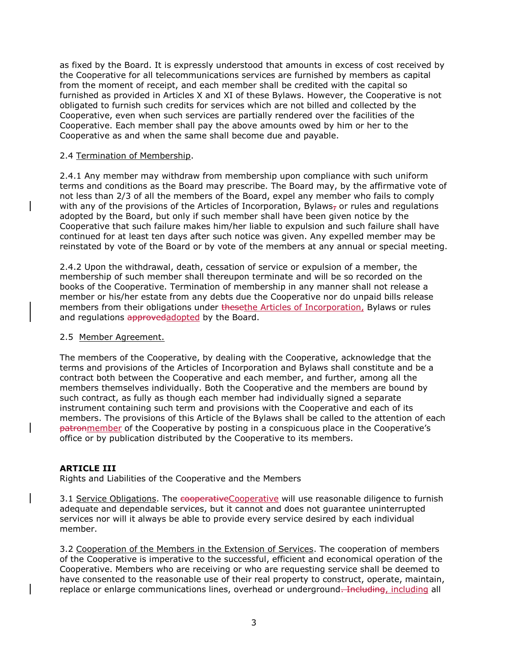as fixed by the Board. It is expressly understood that amounts in excess of cost received by the Cooperative for all telecommunications services are furnished by members as capital from the moment of receipt, and each member shall be credited with the capital so furnished as provided in Articles X and XI of these Bylaws. However, the Cooperative is not obligated to furnish such credits for services which are not billed and collected by the Cooperative, even when such services are partially rendered over the facilities of the Cooperative. Each member shall pay the above amounts owed by him or her to the Cooperative as and when the same shall become due and payable.

#### 2.4 Termination of Membership.

2.4.1 Any member may withdraw from membership upon compliance with such uniform terms and conditions as the Board may prescribe. The Board may, by the affirmative vote of not less than 2/3 of all the members of the Board, expel any member who fails to comply with any of the provisions of the Articles of Incorporation, Bylaws<sub>7</sub> or rules and regulations adopted by the Board, but only if such member shall have been given notice by the Cooperative that such failure makes him/her liable to expulsion and such failure shall have continued for at least ten days after such notice was given. Any expelled member may be reinstated by vote of the Board or by vote of the members at any annual or special meeting.

2.4.2 Upon the withdrawal, death, cessation of service or expulsion of a member, the membership of such member shall thereupon terminate and will be so recorded on the books of the Cooperative. Termination of membership in any manner shall not release a member or his/her estate from any debts due the Cooperative nor do unpaid bills release members from their obligations under the sethe Articles of Incorporation, Bylaws or rules and regulations approvedadopted by the Board.

#### 2.5 Member Agreement.

The members of the Cooperative, by dealing with the Cooperative, acknowledge that the terms and provisions of the Articles of Incorporation and Bylaws shall constitute and be a contract both between the Cooperative and each member, and further, among all the members themselves individually. Both the Cooperative and the members are bound by such contract, as fully as though each member had individually signed a separate instrument containing such term and provisions with the Cooperative and each of its members. The provisions of this Article of the Bylaws shall be called to the attention of each patronmember of the Cooperative by posting in a conspicuous place in the Cooperative's office or by publication distributed by the Cooperative to its members.

#### **ARTICLE III**

Rights and Liabilities of the Cooperative and the Members

3.1 Service Obligations. The cooperativeCooperative will use reasonable diligence to furnish adequate and dependable services, but it cannot and does not guarantee uninterrupted services nor will it always be able to provide every service desired by each individual member.

3.2 Cooperation of the Members in the Extension of Services. The cooperation of members of the Cooperative is imperative to the successful, efficient and economical operation of the Cooperative. Members who are receiving or who are requesting service shall be deemed to have consented to the reasonable use of their real property to construct, operate, maintain, replace or enlarge communications lines, overhead or underground. Including, including all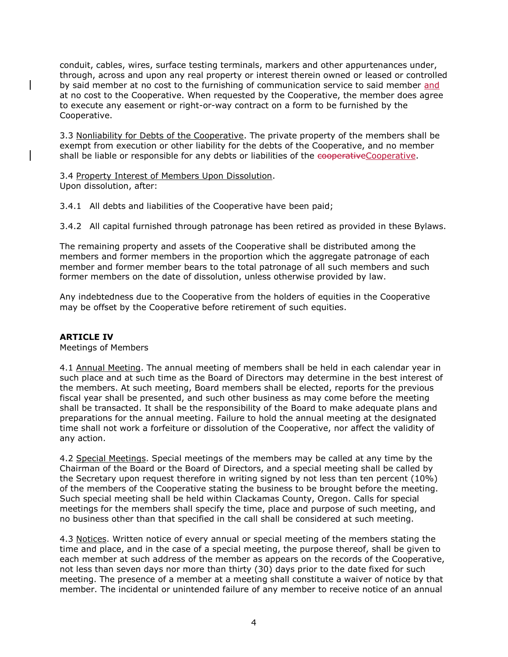conduit, cables, wires, surface testing terminals, markers and other appurtenances under, through, across and upon any real property or interest therein owned or leased or controlled by said member at no cost to the furnishing of communication service to said member and at no cost to the Cooperative. When requested by the Cooperative, the member does agree to execute any easement or right-or-way contract on a form to be furnished by the Cooperative.

3.3 Nonliability for Debts of the Cooperative. The private property of the members shall be exempt from execution or other liability for the debts of the Cooperative, and no member shall be liable or responsible for any debts or liabilities of the cooperativeCooperative.

3.4 Property Interest of Members Upon Dissolution. Upon dissolution, after:

3.4.1 All debts and liabilities of the Cooperative have been paid;

3.4.2 All capital furnished through patronage has been retired as provided in these Bylaws.

The remaining property and assets of the Cooperative shall be distributed among the members and former members in the proportion which the aggregate patronage of each member and former member bears to the total patronage of all such members and such former members on the date of dissolution, unless otherwise provided by law.

Any indebtedness due to the Cooperative from the holders of equities in the Cooperative may be offset by the Cooperative before retirement of such equities.

#### **ARTICLE IV**

Meetings of Members

4.1 Annual Meeting. The annual meeting of members shall be held in each calendar year in such place and at such time as the Board of Directors may determine in the best interest of the members. At such meeting, Board members shall be elected, reports for the previous fiscal year shall be presented, and such other business as may come before the meeting shall be transacted. It shall be the responsibility of the Board to make adequate plans and preparations for the annual meeting. Failure to hold the annual meeting at the designated time shall not work a forfeiture or dissolution of the Cooperative, nor affect the validity of any action.

4.2 Special Meetings. Special meetings of the members may be called at any time by the Chairman of the Board or the Board of Directors, and a special meeting shall be called by the Secretary upon request therefore in writing signed by not less than ten percent (10%) of the members of the Cooperative stating the business to be brought before the meeting. Such special meeting shall be held within Clackamas County, Oregon. Calls for special meetings for the members shall specify the time, place and purpose of such meeting, and no business other than that specified in the call shall be considered at such meeting.

4.3 Notices. Written notice of every annual or special meeting of the members stating the time and place, and in the case of a special meeting, the purpose thereof, shall be given to each member at such address of the member as appears on the records of the Cooperative, not less than seven days nor more than thirty (30) days prior to the date fixed for such meeting. The presence of a member at a meeting shall constitute a waiver of notice by that member. The incidental or unintended failure of any member to receive notice of an annual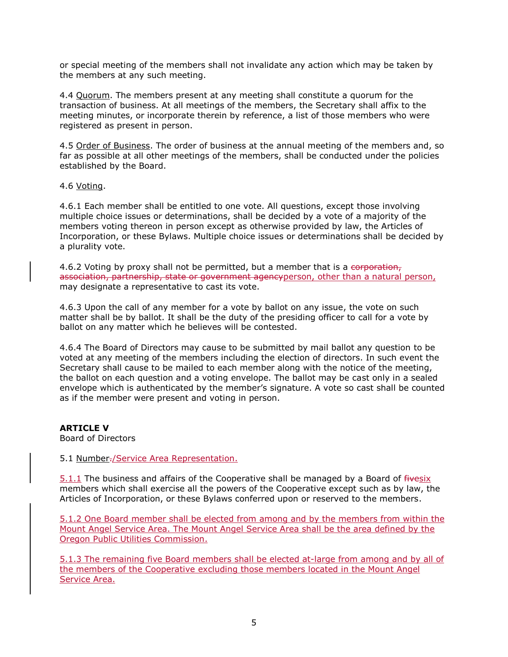or special meeting of the members shall not invalidate any action which may be taken by the members at any such meeting.

4.4 Quorum. The members present at any meeting shall constitute a quorum for the transaction of business. At all meetings of the members, the Secretary shall affix to the meeting minutes, or incorporate therein by reference, a list of those members who were registered as present in person.

4.5 Order of Business. The order of business at the annual meeting of the members and, so far as possible at all other meetings of the members, shall be conducted under the policies established by the Board.

4.6 Voting.

4.6.1 Each member shall be entitled to one vote. All questions, except those involving multiple choice issues or determinations, shall be decided by a vote of a majority of the members voting thereon in person except as otherwise provided by law, the Articles of Incorporation, or these Bylaws. Multiple choice issues or determinations shall be decided by a plurality vote.

4.6.2 Voting by proxy shall not be permitted, but a member that is a corporation, association, partnership, state or government agencyperson, other than a natural person, may designate a representative to cast its vote.

4.6.3 Upon the call of any member for a vote by ballot on any issue, the vote on such matter shall be by ballot. It shall be the duty of the presiding officer to call for a vote by ballot on any matter which he believes will be contested.

4.6.4 The Board of Directors may cause to be submitted by mail ballot any question to be voted at any meeting of the members including the election of directors. In such event the Secretary shall cause to be mailed to each member along with the notice of the meeting, the ballot on each question and a voting envelope. The ballot may be cast only in a sealed envelope which is authenticated by the member's signature. A vote so cast shall be counted as if the member were present and voting in person.

**ARTICLE V**

Board of Directors

5.1 Number./Service Area Representation.

5.1.1 The business and affairs of the Cooperative shall be managed by a Board of fivesix members which shall exercise all the powers of the Cooperative except such as by law, the Articles of Incorporation, or these Bylaws conferred upon or reserved to the members.

5.1.2 One Board member shall be elected from among and by the members from within the Mount Angel Service Area. The Mount Angel Service Area shall be the area defined by the Oregon Public Utilities Commission.

5.1.3 The remaining five Board members shall be elected at-large from among and by all of the members of the Cooperative excluding those members located in the Mount Angel Service Area.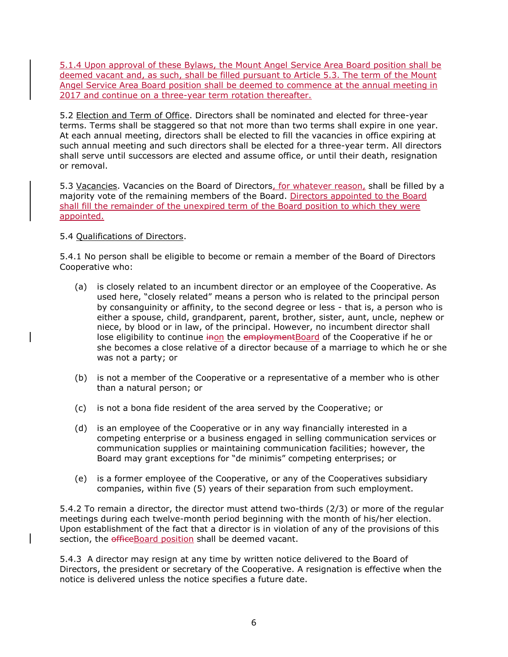5.1.4 Upon approval of these Bylaws, the Mount Angel Service Area Board position shall be deemed vacant and, as such, shall be filled pursuant to Article 5.3. The term of the Mount Angel Service Area Board position shall be deemed to commence at the annual meeting in 2017 and continue on a three-year term rotation thereafter.

5.2 Election and Term of Office. Directors shall be nominated and elected for three-year terms. Terms shall be staggered so that not more than two terms shall expire in one year. At each annual meeting, directors shall be elected to fill the vacancies in office expiring at such annual meeting and such directors shall be elected for a three-year term. All directors shall serve until successors are elected and assume office, or until their death, resignation or removal.

5.3 Vacancies. Vacancies on the Board of Directors, for whatever reason, shall be filled by a majority vote of the remaining members of the Board. Directors appointed to the Board shall fill the remainder of the unexpired term of the Board position to which they were appointed.

## 5.4 Qualifications of Directors.

5.4.1 No person shall be eligible to become or remain a member of the Board of Directors Cooperative who:

- (a) is closely related to an incumbent director or an employee of the Cooperative. As used here, "closely related" means a person who is related to the principal person by consanguinity or affinity, to the second degree or less - that is, a person who is either a spouse, child, grandparent, parent, brother, sister, aunt, uncle, nephew or niece, by blood or in law, of the principal. However, no incumbent director shall lose eligibility to continue inon the employment Board of the Cooperative if he or she becomes a close relative of a director because of a marriage to which he or she was not a party; or
- (b) is not a member of the Cooperative or a representative of a member who is other than a natural person; or
- (c) is not a bona fide resident of the area served by the Cooperative; or
- (d) is an employee of the Cooperative or in any way financially interested in a competing enterprise or a business engaged in selling communication services or communication supplies or maintaining communication facilities; however, the Board may grant exceptions for "de minimis" competing enterprises; or
- (e) is a former employee of the Cooperative, or any of the Cooperatives subsidiary companies, within five (5) years of their separation from such employment.

5.4.2 To remain a director, the director must attend two-thirds (2/3) or more of the regular meetings during each twelve-month period beginning with the month of his/her election. Upon establishment of the fact that a director is in violation of any of the provisions of this section, the efficeBoard position shall be deemed vacant.

5.4.3 A director may resign at any time by written notice delivered to the Board of Directors, the president or secretary of the Cooperative. A resignation is effective when the notice is delivered unless the notice specifies a future date.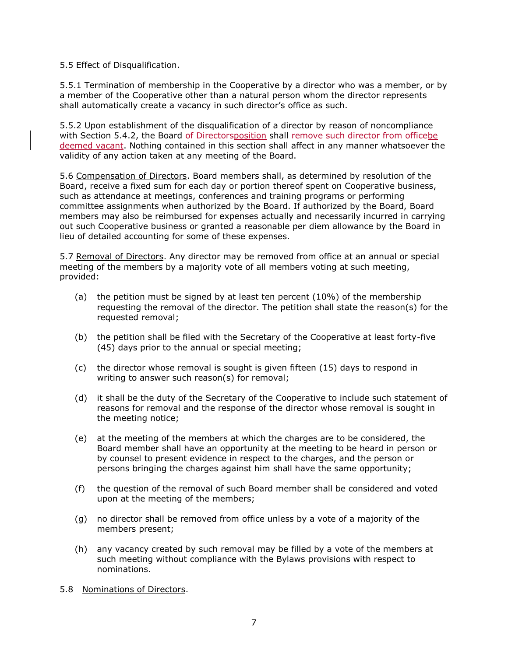#### 5.5 Effect of Disqualification.

5.5.1 Termination of membership in the Cooperative by a director who was a member, or by a member of the Cooperative other than a natural person whom the director represents shall automatically create a vacancy in such director's office as such.

5.5.2 Upon establishment of the disqualification of a director by reason of noncompliance with Section 5.4.2, the Board of Directorsposition shall remove such director from officebe deemed vacant. Nothing contained in this section shall affect in any manner whatsoever the validity of any action taken at any meeting of the Board.

5.6 Compensation of Directors. Board members shall, as determined by resolution of the Board, receive a fixed sum for each day or portion thereof spent on Cooperative business, such as attendance at meetings, conferences and training programs or performing committee assignments when authorized by the Board. If authorized by the Board, Board members may also be reimbursed for expenses actually and necessarily incurred in carrying out such Cooperative business or granted a reasonable per diem allowance by the Board in lieu of detailed accounting for some of these expenses.

5.7 Removal of Directors. Any director may be removed from office at an annual or special meeting of the members by a majority vote of all members voting at such meeting, provided:

- (a) the petition must be signed by at least ten percent (10%) of the membership requesting the removal of the director. The petition shall state the reason(s) for the requested removal;
- (b) the petition shall be filed with the Secretary of the Cooperative at least forty-five (45) days prior to the annual or special meeting;
- (c) the director whose removal is sought is given fifteen (15) days to respond in writing to answer such reason(s) for removal;
- (d) it shall be the duty of the Secretary of the Cooperative to include such statement of reasons for removal and the response of the director whose removal is sought in the meeting notice;
- (e) at the meeting of the members at which the charges are to be considered, the Board member shall have an opportunity at the meeting to be heard in person or by counsel to present evidence in respect to the charges, and the person or persons bringing the charges against him shall have the same opportunity;
- (f) the question of the removal of such Board member shall be considered and voted upon at the meeting of the members;
- (g) no director shall be removed from office unless by a vote of a majority of the members present;
- (h) any vacancy created by such removal may be filled by a vote of the members at such meeting without compliance with the Bylaws provisions with respect to nominations.
- 5.8 Nominations of Directors.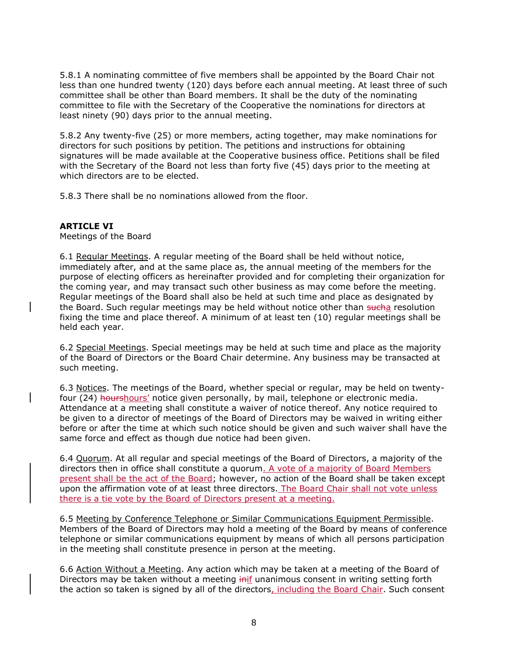5.8.1 A nominating committee of five members shall be appointed by the Board Chair not less than one hundred twenty (120) days before each annual meeting. At least three of such committee shall be other than Board members. It shall be the duty of the nominating committee to file with the Secretary of the Cooperative the nominations for directors at least ninety (90) days prior to the annual meeting.

5.8.2 Any twenty-five (25) or more members, acting together, may make nominations for directors for such positions by petition. The petitions and instructions for obtaining signatures will be made available at the Cooperative business office. Petitions shall be filed with the Secretary of the Board not less than forty five (45) days prior to the meeting at which directors are to be elected.

5.8.3 There shall be no nominations allowed from the floor.

## **ARTICLE VI**

Meetings of the Board

6.1 Regular Meetings. A regular meeting of the Board shall be held without notice, immediately after, and at the same place as, the annual meeting of the members for the purpose of electing officers as hereinafter provided and for completing their organization for the coming year, and may transact such other business as may come before the meeting. Regular meetings of the Board shall also be held at such time and place as designated by the Board. Such regular meetings may be held without notice other than sucha resolution fixing the time and place thereof. A minimum of at least ten (10) regular meetings shall be held each year.

6.2 Special Meetings. Special meetings may be held at such time and place as the majority of the Board of Directors or the Board Chair determine. Any business may be transacted at such meeting.

6.3 Notices. The meetings of the Board, whether special or regular, may be held on twentyfour (24) hourshours' notice given personally, by mail, telephone or electronic media. Attendance at a meeting shall constitute a waiver of notice thereof. Any notice required to be given to a director of meetings of the Board of Directors may be waived in writing either before or after the time at which such notice should be given and such waiver shall have the same force and effect as though due notice had been given.

6.4 Quorum. At all regular and special meetings of the Board of Directors, a majority of the directors then in office shall constitute a quorum. A vote of a majority of Board Members present shall be the act of the Board; however, no action of the Board shall be taken except upon the affirmation vote of at least three directors. The Board Chair shall not vote unless there is a tie vote by the Board of Directors present at a meeting.

6.5 Meeting by Conference Telephone or Similar Communications Equipment Permissible. Members of the Board of Directors may hold a meeting of the Board by means of conference telephone or similar communications equipment by means of which all persons participation in the meeting shall constitute presence in person at the meeting.

6.6 Action Without a Meeting. Any action which may be taken at a meeting of the Board of Directors may be taken without a meeting inif unanimous consent in writing setting forth the action so taken is signed by all of the directors, including the Board Chair. Such consent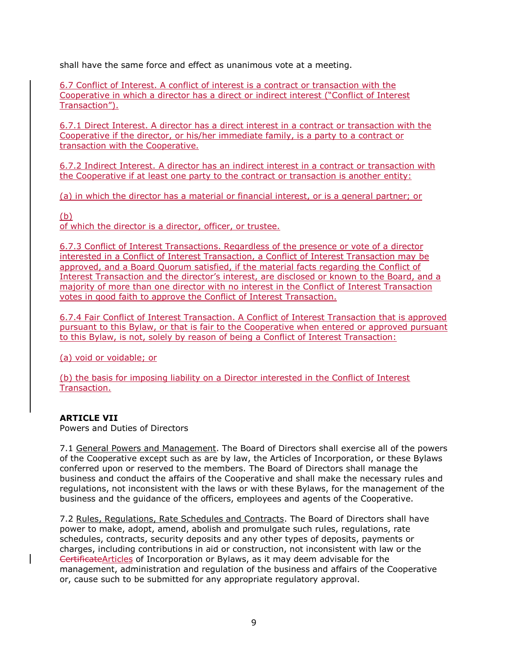shall have the same force and effect as unanimous vote at a meeting.

6.7 Conflict of Interest. A conflict of interest is a contract or transaction with the Cooperative in which a director has a direct or indirect interest ("Conflict of Interest Transaction").

6.7.1 Direct Interest. A director has a direct interest in a contract or transaction with the Cooperative if the director, or his/her immediate family, is a party to a contract or transaction with the Cooperative.

6.7.2 Indirect Interest. A director has an indirect interest in a contract or transaction with the Cooperative if at least one party to the contract or transaction is another entity:

(a) in which the director has a material or financial interest, or is a general partner; or

## (b)

of which the director is a director, officer, or trustee.

6.7.3 Conflict of Interest Transactions. Regardless of the presence or vote of a director interested in a Conflict of Interest Transaction, a Conflict of Interest Transaction may be approved, and a Board Quorum satisfied, if the material facts regarding the Conflict of Interest Transaction and the director's interest, are disclosed or known to the Board, and a majority of more than one director with no interest in the Conflict of Interest Transaction votes in good faith to approve the Conflict of Interest Transaction.

6.7.4 Fair Conflict of Interest Transaction. A Conflict of Interest Transaction that is approved pursuant to this Bylaw, or that is fair to the Cooperative when entered or approved pursuant to this Bylaw, is not, solely by reason of being a Conflict of Interest Transaction:

(a) void or voidable; or

(b) the basis for imposing liability on a Director interested in the Conflict of Interest Transaction.

#### **ARTICLE VII**

Powers and Duties of Directors

7.1 General Powers and Management. The Board of Directors shall exercise all of the powers of the Cooperative except such as are by law, the Articles of Incorporation, or these Bylaws conferred upon or reserved to the members. The Board of Directors shall manage the business and conduct the affairs of the Cooperative and shall make the necessary rules and regulations, not inconsistent with the laws or with these Bylaws, for the management of the business and the guidance of the officers, employees and agents of the Cooperative.

7.2 Rules, Regulations, Rate Schedules and Contracts. The Board of Directors shall have power to make, adopt, amend, abolish and promulgate such rules, regulations, rate schedules, contracts, security deposits and any other types of deposits, payments or charges, including contributions in aid or construction, not inconsistent with law or the CertificateArticles of Incorporation or Bylaws, as it may deem advisable for the management, administration and regulation of the business and affairs of the Cooperative or, cause such to be submitted for any appropriate regulatory approval.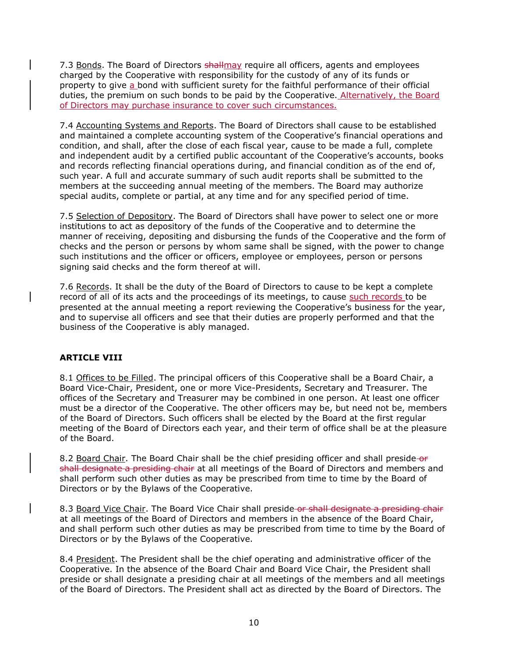7.3 Bonds. The Board of Directors shallmay require all officers, agents and employees charged by the Cooperative with responsibility for the custody of any of its funds or property to give a bond with sufficient surety for the faithful performance of their official duties, the premium on such bonds to be paid by the Cooperative. Alternatively, the Board of Directors may purchase insurance to cover such circumstances.

7.4 Accounting Systems and Reports. The Board of Directors shall cause to be established and maintained a complete accounting system of the Cooperative's financial operations and condition, and shall, after the close of each fiscal year, cause to be made a full, complete and independent audit by a certified public accountant of the Cooperative's accounts, books and records reflecting financial operations during, and financial condition as of the end of, such year. A full and accurate summary of such audit reports shall be submitted to the members at the succeeding annual meeting of the members. The Board may authorize special audits, complete or partial, at any time and for any specified period of time.

7.5 Selection of Depository. The Board of Directors shall have power to select one or more institutions to act as depository of the funds of the Cooperative and to determine the manner of receiving, depositing and disbursing the funds of the Cooperative and the form of checks and the person or persons by whom same shall be signed, with the power to change such institutions and the officer or officers, employee or employees, person or persons signing said checks and the form thereof at will.

7.6 Records. It shall be the duty of the Board of Directors to cause to be kept a complete record of all of its acts and the proceedings of its meetings, to cause such records to be presented at the annual meeting a report reviewing the Cooperative's business for the year, and to supervise all officers and see that their duties are properly performed and that the business of the Cooperative is ably managed.

## **ARTICLE VIII**

8.1 Offices to be Filled. The principal officers of this Cooperative shall be a Board Chair, a Board Vice-Chair, President, one or more Vice-Presidents, Secretary and Treasurer. The offices of the Secretary and Treasurer may be combined in one person. At least one officer must be a director of the Cooperative. The other officers may be, but need not be, members of the Board of Directors. Such officers shall be elected by the Board at the first regular meeting of the Board of Directors each year, and their term of office shall be at the pleasure of the Board.

8.2 Board Chair. The Board Chair shall be the chief presiding officer and shall preside-or shall designate a presiding chair at all meetings of the Board of Directors and members and shall perform such other duties as may be prescribed from time to time by the Board of Directors or by the Bylaws of the Cooperative.

8.3 Board Vice Chair. The Board Vice Chair shall preside or shall designate a presiding chair at all meetings of the Board of Directors and members in the absence of the Board Chair, and shall perform such other duties as may be prescribed from time to time by the Board of Directors or by the Bylaws of the Cooperative.

8.4 President. The President shall be the chief operating and administrative officer of the Cooperative. In the absence of the Board Chair and Board Vice Chair, the President shall preside or shall designate a presiding chair at all meetings of the members and all meetings of the Board of Directors. The President shall act as directed by the Board of Directors. The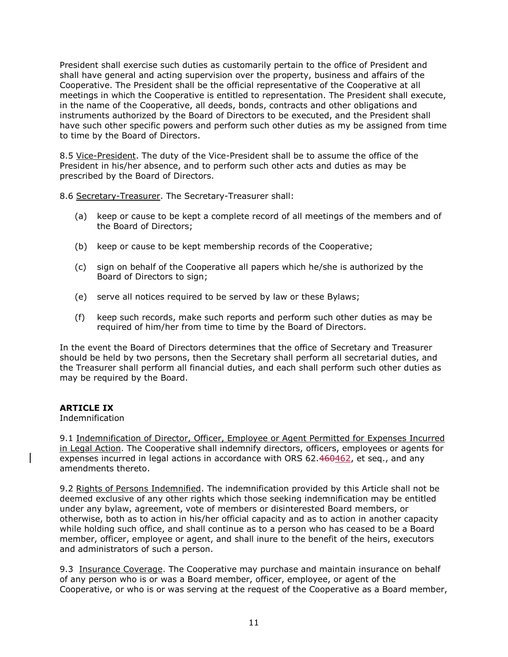President shall exercise such duties as customarily pertain to the office of President and shall have general and acting supervision over the property, business and affairs of the Cooperative. The President shall be the official representative of the Cooperative at all meetings in which the Cooperative is entitled to representation. The President shall execute, in the name of the Cooperative, all deeds, bonds, contracts and other obligations and instruments authorized by the Board of Directors to be executed, and the President shall have such other specific powers and perform such other duties as my be assigned from time to time by the Board of Directors.

8.5 Vice-President. The duty of the Vice-President shall be to assume the office of the President in his/her absence, and to perform such other acts and duties as may be prescribed by the Board of Directors.

8.6 Secretary-Treasurer. The Secretary-Treasurer shall:

- (a) keep or cause to be kept a complete record of all meetings of the members and of the Board of Directors;
- (b) keep or cause to be kept membership records of the Cooperative;
- (c) sign on behalf of the Cooperative all papers which he/she is authorized by the Board of Directors to sign;
- (e) serve all notices required to be served by law or these Bylaws;
- (f) keep such records, make such reports and perform such other duties as may be required of him/her from time to time by the Board of Directors.

In the event the Board of Directors determines that the office of Secretary and Treasurer should be held by two persons, then the Secretary shall perform all secretarial duties, and the Treasurer shall perform all financial duties, and each shall perform such other duties as may be required by the Board.

## **ARTICLE IX**

Indemnification

9.1 Indemnification of Director, Officer, Employee or Agent Permitted for Expenses Incurred in Legal Action. The Cooperative shall indemnify directors, officers, employees or agents for expenses incurred in legal actions in accordance with ORS 62.460462, et seq., and any amendments thereto.

9.2 Rights of Persons Indemnified. The indemnification provided by this Article shall not be deemed exclusive of any other rights which those seeking indemnification may be entitled under any bylaw, agreement, vote of members or disinterested Board members, or otherwise, both as to action in his/her official capacity and as to action in another capacity while holding such office, and shall continue as to a person who has ceased to be a Board member, officer, employee or agent, and shall inure to the benefit of the heirs, executors and administrators of such a person.

9.3 Insurance Coverage. The Cooperative may purchase and maintain insurance on behalf of any person who is or was a Board member, officer, employee, or agent of the Cooperative, or who is or was serving at the request of the Cooperative as a Board member,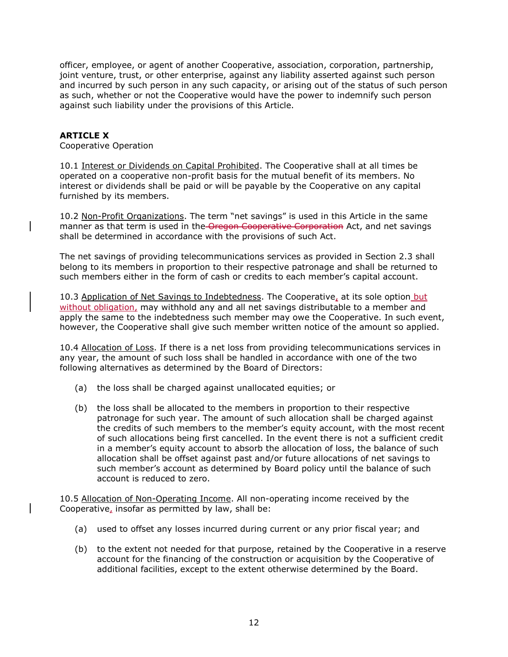officer, employee, or agent of another Cooperative, association, corporation, partnership, joint venture, trust, or other enterprise, against any liability asserted against such person and incurred by such person in any such capacity, or arising out of the status of such person as such, whether or not the Cooperative would have the power to indemnify such person against such liability under the provisions of this Article.

## **ARTICLE X**

Cooperative Operation

10.1 Interest or Dividends on Capital Prohibited. The Cooperative shall at all times be operated on a cooperative non-profit basis for the mutual benefit of its members. No interest or dividends shall be paid or will be payable by the Cooperative on any capital furnished by its members.

10.2 Non-Profit Organizations. The term "net savings" is used in this Article in the same manner as that term is used in the Oregon Cooperative Corporation Act, and net savings shall be determined in accordance with the provisions of such Act.

The net savings of providing telecommunications services as provided in Section 2.3 shall belong to its members in proportion to their respective patronage and shall be returned to such members either in the form of cash or credits to each member's capital account.

10.3 Application of Net Savings to Indebtedness. The Cooperative, at its sole option but without obligation, may withhold any and all net savings distributable to a member and apply the same to the indebtedness such member may owe the Cooperative. In such event, however, the Cooperative shall give such member written notice of the amount so applied.

10.4 Allocation of Loss. If there is a net loss from providing telecommunications services in any year, the amount of such loss shall be handled in accordance with one of the two following alternatives as determined by the Board of Directors:

- (a) the loss shall be charged against unallocated equities; or
- (b) the loss shall be allocated to the members in proportion to their respective patronage for such year. The amount of such allocation shall be charged against the credits of such members to the member's equity account, with the most recent of such allocations being first cancelled. In the event there is not a sufficient credit in a member's equity account to absorb the allocation of loss, the balance of such allocation shall be offset against past and/or future allocations of net savings to such member's account as determined by Board policy until the balance of such account is reduced to zero.

10.5 Allocation of Non-Operating Income. All non-operating income received by the Cooperative, insofar as permitted by law, shall be:

- (a) used to offset any losses incurred during current or any prior fiscal year; and
- (b) to the extent not needed for that purpose, retained by the Cooperative in a reserve account for the financing of the construction or acquisition by the Cooperative of additional facilities, except to the extent otherwise determined by the Board.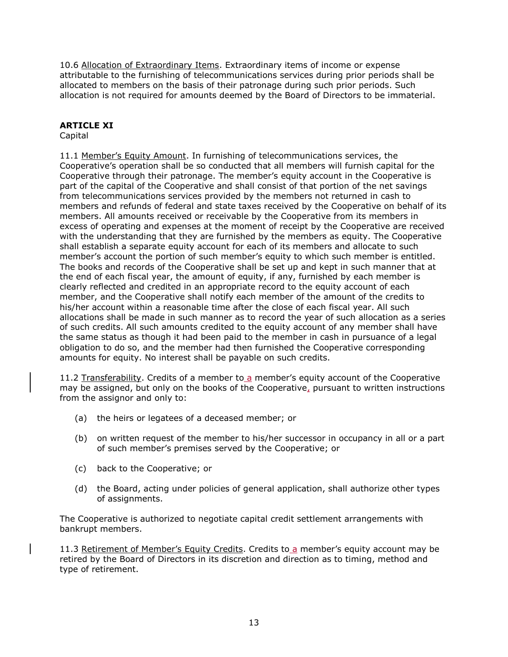10.6 Allocation of Extraordinary Items. Extraordinary items of income or expense attributable to the furnishing of telecommunications services during prior periods shall be allocated to members on the basis of their patronage during such prior periods. Such allocation is not required for amounts deemed by the Board of Directors to be immaterial.

## **ARTICLE XI**

## Capital

11.1 Member's Equity Amount. In furnishing of telecommunications services, the Cooperative's operation shall be so conducted that all members will furnish capital for the Cooperative through their patronage. The member's equity account in the Cooperative is part of the capital of the Cooperative and shall consist of that portion of the net savings from telecommunications services provided by the members not returned in cash to members and refunds of federal and state taxes received by the Cooperative on behalf of its members. All amounts received or receivable by the Cooperative from its members in excess of operating and expenses at the moment of receipt by the Cooperative are received with the understanding that they are furnished by the members as equity. The Cooperative shall establish a separate equity account for each of its members and allocate to such member's account the portion of such member's equity to which such member is entitled. The books and records of the Cooperative shall be set up and kept in such manner that at the end of each fiscal year, the amount of equity, if any, furnished by each member is clearly reflected and credited in an appropriate record to the equity account of each member, and the Cooperative shall notify each member of the amount of the credits to his/her account within a reasonable time after the close of each fiscal year. All such allocations shall be made in such manner as to record the year of such allocation as a series of such credits. All such amounts credited to the equity account of any member shall have the same status as though it had been paid to the member in cash in pursuance of a legal obligation to do so, and the member had then furnished the Cooperative corresponding amounts for equity. No interest shall be payable on such credits.

11.2 Transferability. Credits of a member to a member's equity account of the Cooperative may be assigned, but only on the books of the Cooperative, pursuant to written instructions from the assignor and only to:

- (a) the heirs or legatees of a deceased member; or
- (b) on written request of the member to his/her successor in occupancy in all or a part of such member's premises served by the Cooperative; or
- (c) back to the Cooperative; or
- (d) the Board, acting under policies of general application, shall authorize other types of assignments.

The Cooperative is authorized to negotiate capital credit settlement arrangements with bankrupt members.

11.3 Retirement of Member's Equity Credits. Credits to a member's equity account may be retired by the Board of Directors in its discretion and direction as to timing, method and type of retirement.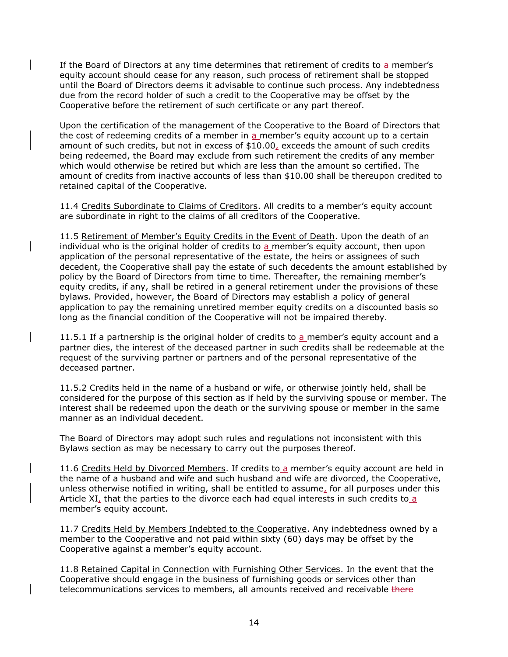If the Board of Directors at any time determines that retirement of credits to a member's equity account should cease for any reason, such process of retirement shall be stopped until the Board of Directors deems it advisable to continue such process. Any indebtedness due from the record holder of such a credit to the Cooperative may be offset by the Cooperative before the retirement of such certificate or any part thereof.

Upon the certification of the management of the Cooperative to the Board of Directors that the cost of redeeming credits of a member in a member's equity account up to a certain amount of such credits, but not in excess of \$10.00, exceeds the amount of such credits being redeemed, the Board may exclude from such retirement the credits of any member which would otherwise be retired but which are less than the amount so certified. The amount of credits from inactive accounts of less than \$10.00 shall be thereupon credited to retained capital of the Cooperative.

11.4 Credits Subordinate to Claims of Creditors. All credits to a member's equity account are subordinate in right to the claims of all creditors of the Cooperative.

11.5 Retirement of Member's Equity Credits in the Event of Death. Upon the death of an individual who is the original holder of credits to  $a$  member's equity account, then upon application of the personal representative of the estate, the heirs or assignees of such decedent, the Cooperative shall pay the estate of such decedents the amount established by policy by the Board of Directors from time to time. Thereafter, the remaining member's equity credits, if any, shall be retired in a general retirement under the provisions of these bylaws. Provided, however, the Board of Directors may establish a policy of general application to pay the remaining unretired member equity credits on a discounted basis so long as the financial condition of the Cooperative will not be impaired thereby.

11.5.1 If a partnership is the original holder of credits to a member's equity account and a partner dies, the interest of the deceased partner in such credits shall be redeemable at the request of the surviving partner or partners and of the personal representative of the deceased partner.

11.5.2 Credits held in the name of a husband or wife, or otherwise jointly held, shall be considered for the purpose of this section as if held by the surviving spouse or member. The interest shall be redeemed upon the death or the surviving spouse or member in the same manner as an individual decedent.

The Board of Directors may adopt such rules and regulations not inconsistent with this Bylaws section as may be necessary to carry out the purposes thereof.

11.6 Credits Held by Divorced Members. If credits to a member's equity account are held in the name of a husband and wife and such husband and wife are divorced, the Cooperative, unless otherwise notified in writing, shall be entitled to assume, for all purposes under this Article XI, that the parties to the divorce each had equal interests in such credits to a member's equity account.

11.7 Credits Held by Members Indebted to the Cooperative. Any indebtedness owned by a member to the Cooperative and not paid within sixty (60) days may be offset by the Cooperative against a member's equity account.

11.8 Retained Capital in Connection with Furnishing Other Services. In the event that the Cooperative should engage in the business of furnishing goods or services other than telecommunications services to members, all amounts received and receivable there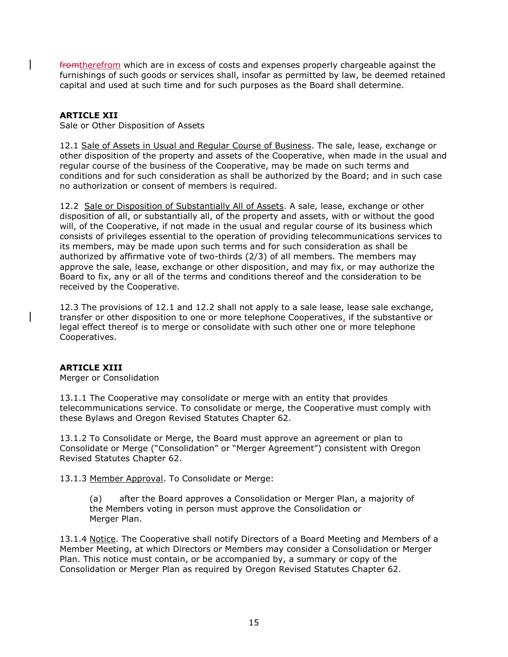fromtherefrom which are in excess of costs and expenses properly chargeable against the furnishings of such goods or services shall, insofar as permitted by law, be deemed retained capital and used at such time and for such purposes as the Board shall determine.

## **ARTICLE XII**

Sale or Other Disposition of Assets

12.1 Sale of Assets in Usual and Regular Course of Business. The sale, lease, exchange or other disposition of the property and assets of the Cooperative, when made in the usual and regular course of the business of the Cooperative, may be made on such terms and conditions and for such consideration as shall be authorized by the Board; and in such case no authorization or consent of members is required.

12.2 Sale or Disposition of Substantially All of Assets. A sale, lease, exchange or other disposition of all, or substantially all, of the property and assets, with or without the good will, of the Cooperative, if not made in the usual and regular course of its business which consists of privileges essential to the operation of providing telecommunications services to its members, may be made upon such terms and for such consideration as shall be authorized by affirmative vote of two-thirds (2/3) of all members. The members may approve the sale, lease, exchange or other disposition, and may fix, or may authorize the Board to fix, any or all of the terms and conditions thereof and the consideration to be received by the Cooperative.

12.3 The provisions of 12.1 and 12.2 shall not apply to a sale lease, lease sale exchange, transfer or other disposition to one or more telephone Cooperatives, if the substantive or legal effect thereof is to merge or consolidate with such other one or more telephone Cooperatives.

#### **ARTICLE XIII**

Merger or Consolidation

13.1.1 The Cooperative may consolidate or merge with an entity that provides telecommunications service. To consolidate or merge, the Cooperative must comply with these Bylaws and Oregon Revised Statutes Chapter 62.

13.1.2 To Consolidate or Merge, the Board must approve an agreement or plan to Consolidate or Merge ("Consolidation" or "Merger Agreement") consistent with Oregon Revised Statutes Chapter 62.

13.1.3 Member Approval. To Consolidate or Merge:

(a) after the Board approves a Consolidation or Merger Plan, a majority of the Members voting in person must approve the Consolidation or Merger Plan.

13.1.4 Notice. The Cooperative shall notify Directors of a Board Meeting and Members of a Member Meeting, at which Directors or Members may consider a Consolidation or Merger Plan. This notice must contain, or be accompanied by, a summary or copy of the Consolidation or Merger Plan as required by Oregon Revised Statutes Chapter 62.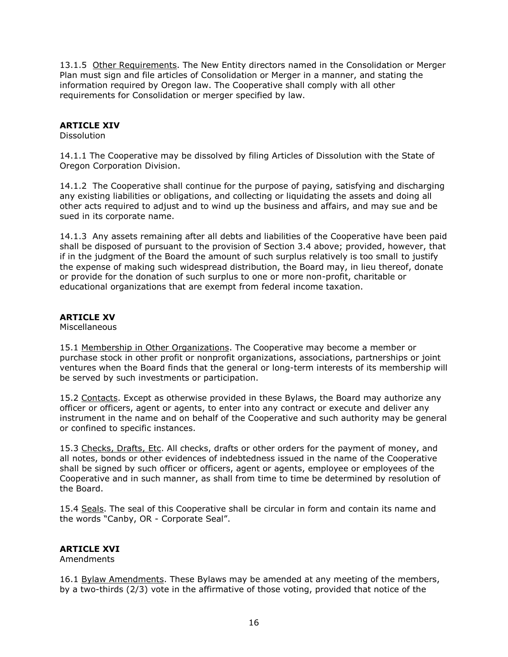13.1.5 Other Requirements. The New Entity directors named in the Consolidation or Merger Plan must sign and file articles of Consolidation or Merger in a manner, and stating the information required by Oregon law. The Cooperative shall comply with all other requirements for Consolidation or merger specified by law.

## **ARTICLE XIV**

Dissolution

14.1.1 The Cooperative may be dissolved by filing Articles of Dissolution with the State of Oregon Corporation Division.

14.1.2 The Cooperative shall continue for the purpose of paying, satisfying and discharging any existing liabilities or obligations, and collecting or liquidating the assets and doing all other acts required to adjust and to wind up the business and affairs, and may sue and be sued in its corporate name.

14.1.3 Any assets remaining after all debts and liabilities of the Cooperative have been paid shall be disposed of pursuant to the provision of Section 3.4 above; provided, however, that if in the judgment of the Board the amount of such surplus relatively is too small to justify the expense of making such widespread distribution, the Board may, in lieu thereof, donate or provide for the donation of such surplus to one or more non-profit, charitable or educational organizations that are exempt from federal income taxation.

## **ARTICLE XV**

**Miscellaneous** 

15.1 Membership in Other Organizations. The Cooperative may become a member or purchase stock in other profit or nonprofit organizations, associations, partnerships or joint ventures when the Board finds that the general or long-term interests of its membership will be served by such investments or participation.

15.2 Contacts. Except as otherwise provided in these Bylaws, the Board may authorize any officer or officers, agent or agents, to enter into any contract or execute and deliver any instrument in the name and on behalf of the Cooperative and such authority may be general or confined to specific instances.

15.3 Checks, Drafts, Etc. All checks, drafts or other orders for the payment of money, and all notes, bonds or other evidences of indebtedness issued in the name of the Cooperative shall be signed by such officer or officers, agent or agents, employee or employees of the Cooperative and in such manner, as shall from time to time be determined by resolution of the Board.

15.4 Seals. The seal of this Cooperative shall be circular in form and contain its name and the words "Canby, OR - Corporate Seal".

#### **ARTICLE XVI**

Amendments

16.1 Bylaw Amendments. These Bylaws may be amended at any meeting of the members, by a two-thirds (2/3) vote in the affirmative of those voting, provided that notice of the